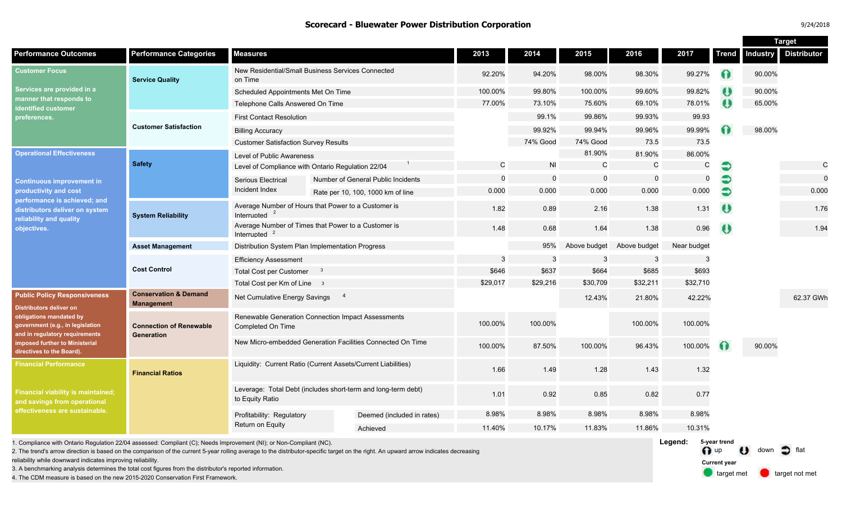#### **Scorecard - Bluewater Power Distribution Corporation** 9/24/2018

|                                                                                                                                                                                                                                       |                                                       |                                                                                  |  |                                    |          |                |              |              |             |              | <b>Target</b>   |                    |  |
|---------------------------------------------------------------------------------------------------------------------------------------------------------------------------------------------------------------------------------------|-------------------------------------------------------|----------------------------------------------------------------------------------|--|------------------------------------|----------|----------------|--------------|--------------|-------------|--------------|-----------------|--------------------|--|
| <b>Performance Outcomes</b>                                                                                                                                                                                                           | <b>Performance Categories</b>                         | <b>Measures</b>                                                                  |  |                                    | 2013     | 2014           | 2015         | 2016         | 2017        | <b>Trend</b> | <b>Industry</b> | <b>Distributor</b> |  |
| <b>Customer Focus</b><br>Services are provided in a<br>manner that responds to<br>identified customer<br>preferences.                                                                                                                 | <b>Service Quality</b>                                | New Residential/Small Business Services Connected<br>on Time                     |  |                                    | 92.20%   | 94.20%         | 98.00%       | 98.30%       | 99.27%      | 0            | 90.00%          |                    |  |
|                                                                                                                                                                                                                                       |                                                       | Scheduled Appointments Met On Time                                               |  |                                    | 100.00%  | 99.80%         | 100.00%      | 99.60%       | 99.82%      | $\bullet$    | 90.00%          |                    |  |
|                                                                                                                                                                                                                                       |                                                       | Telephone Calls Answered On Time                                                 |  |                                    | 77.00%   | 73.10%         | 75.60%       | 69.10%       | 78.01%      | $\bullet$    | 65.00%          |                    |  |
|                                                                                                                                                                                                                                       |                                                       | <b>First Contact Resolution</b>                                                  |  |                                    |          | 99.1%          | 99.86%       | 99.93%       | 99.93       |              |                 |                    |  |
|                                                                                                                                                                                                                                       | <b>Customer Satisfaction</b>                          | <b>Billing Accuracy</b>                                                          |  |                                    |          | 99.92%         | 99.94%       | 99.96%       | 99.99%      |              | 98.00%          |                    |  |
|                                                                                                                                                                                                                                       |                                                       | <b>Customer Satisfaction Survey Results</b>                                      |  |                                    |          | 74% Good       | 74% Good     | 73.5         | 73.5        |              |                 |                    |  |
| <b>Operational Effectiveness</b><br><b>Continuous improvement in</b><br>productivity and cost<br>performance is achieved; and<br>distributors deliver on system<br>reliability and quality<br>objectives.                             | <b>Safety</b>                                         | Level of Public Awareness                                                        |  |                                    |          |                | 81.90%       | 81.90%       | 86.00%      |              |                 |                    |  |
|                                                                                                                                                                                                                                       |                                                       | Level of Compliance with Ontario Regulation 22/04                                |  |                                    | C        | N <sub>l</sub> | $\mathsf{C}$ | $\mathsf{C}$ | C           |              |                 | $\mathsf{C}$       |  |
|                                                                                                                                                                                                                                       |                                                       | Serious Electrical                                                               |  | Number of General Public Incidents | $\Omega$ | $\mathbf 0$    | $\mathbf 0$  | $\mathbf 0$  | $\mathbf 0$ | €            |                 | $\Omega$           |  |
|                                                                                                                                                                                                                                       |                                                       | Incident Index                                                                   |  | Rate per 10, 100, 1000 km of line  | 0.000    | 0.000          | 0.000        | 0.000        | 0.000       | $\bullet$    |                 | 0.000              |  |
|                                                                                                                                                                                                                                       | <b>System Reliability</b>                             | Average Number of Hours that Power to a Customer is<br>Interrupted               |  |                                    | 1.82     | 0.89           | 2.16         | 1.38         | 1.31        | $\bullet$    |                 | 1.76               |  |
|                                                                                                                                                                                                                                       |                                                       | Average Number of Times that Power to a Customer is<br>Interrupted               |  |                                    | 1.48     | 0.68           | 1.64         | 1.38         | 0.96        | O            |                 | 1.94               |  |
|                                                                                                                                                                                                                                       | <b>Asset Management</b>                               | Distribution System Plan Implementation Progress                                 |  |                                    |          | 95%            | Above budget | Above budget | Near budget |              |                 |                    |  |
|                                                                                                                                                                                                                                       | <b>Cost Control</b>                                   | <b>Efficiency Assessment</b>                                                     |  |                                    | 3        | 3              | -3           | 3            | 3           |              |                 |                    |  |
|                                                                                                                                                                                                                                       |                                                       | <b>Total Cost per Customer</b><br>- 3                                            |  |                                    | \$646    | \$637          | \$664        | \$685        | \$693       |              |                 |                    |  |
|                                                                                                                                                                                                                                       |                                                       | Total Cost per Km of Line 3                                                      |  |                                    | \$29,017 | \$29,216       | \$30,709     | \$32,211     | \$32,710    |              |                 |                    |  |
| <b>Public Policy Responsiveness</b><br><b>Distributors deliver on</b><br>obligations mandated by<br>government (e.g., in legislation<br>and in regulatory requirements<br>imposed further to Ministerial<br>directives to the Board). | <b>Conservation &amp; Demand</b><br><b>Management</b> | $\overline{4}$<br>Net Cumulative Energy Savings                                  |  |                                    |          |                | 12.43%       | 21.80%       | 42.22%      |              |                 | 62.37 GWh          |  |
|                                                                                                                                                                                                                                       | <b>Connection of Renewable</b><br>Generation          | Renewable Generation Connection Impact Assessments<br>Completed On Time          |  |                                    | 100.00%  | 100.00%        |              | 100.00%      | 100.00%     |              |                 |                    |  |
|                                                                                                                                                                                                                                       |                                                       | New Micro-embedded Generation Facilities Connected On Time                       |  |                                    | 100.00%  | 87.50%         | 100.00%      | 96.43%       | 100.00%     |              | 90.00%          |                    |  |
| Financial Performance<br><b>Financial viability is maintained;</b><br>and savings from operational<br>effectiveness are sustainable.                                                                                                  | <b>Financial Ratios</b>                               | Liquidity: Current Ratio (Current Assets/Current Liabilities)                    |  |                                    | 1.66     | 1.49           | 1.28         | 1.43         | 1.32        |              |                 |                    |  |
|                                                                                                                                                                                                                                       |                                                       | Leverage: Total Debt (includes short-term and long-term debt)<br>to Equity Ratio |  |                                    | 1.01     | 0.92           | 0.85         | 0.82         | 0.77        |              |                 |                    |  |
|                                                                                                                                                                                                                                       |                                                       | Profitability: Regulatory<br>Return on Equity                                    |  | Deemed (included in rates)         | 8.98%    | 8.98%          | 8.98%        | 8.98%        | 8.98%       |              |                 |                    |  |
|                                                                                                                                                                                                                                       |                                                       |                                                                                  |  | Achieved                           | 11.40%   | 10.17%         | 11.83%       | 11.86%       | 10.31%      |              |                 |                    |  |

1. Compliance with Ontario Regulation 22/04 assessed: Compliant (C); Needs Improvement (NI); or Non-Compliant (NC).

2. The trend's arrow direction is based on the comparison of the current 5-year rolling average to the distributor-specific target on the right. An upward arrow indicates decreasing

reliability while downward indicates improving reliability.

3. A benchmarking analysis determines the total cost figures from the distributor's reported information.

4. The CDM measure is based on the new 2015-2020 Conservation First Framework.

**Legend:** n up U down  $\supset$  flat target met **target not met 5-year trend Current year**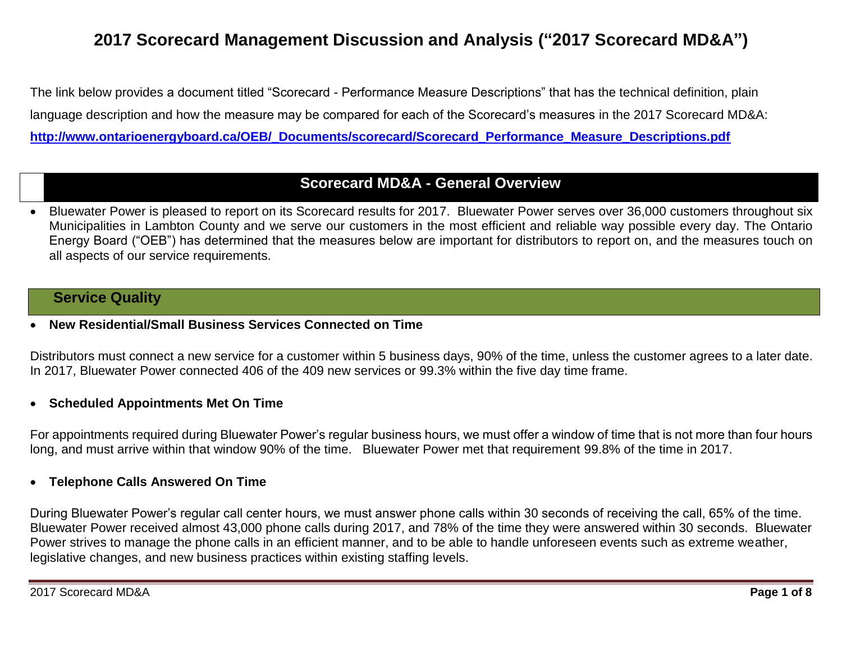# **2017 Scorecard Management Discussion and Analysis ("2017 Scorecard MD&A")**

The link below provides a document titled "Scorecard - Performance Measure Descriptions" that has the technical definition, plain language description and how the measure may be compared for each of the Scorecard's measures in the 2017 Scorecard MD&A: **[http://www.ontarioenergyboard.ca/OEB/\\_Documents/scorecard/Scorecard\\_Performance\\_Measure\\_Descriptions.pdf](http://www.ontarioenergyboard.ca/OEB/_Documents/scorecard/Scorecard_Performance_Measure_Descriptions.pdf)**

# **Scorecard MD&A - General Overview**

 Bluewater Power is pleased to report on its Scorecard results for 2017. Bluewater Power serves over 36,000 customers throughout six Municipalities in Lambton County and we serve our customers in the most efficient and reliable way possible every day. The Ontario Energy Board ("OEB") has determined that the measures below are important for distributors to report on, and the measures touch on all aspects of our service requirements.

# **Service Quality**

**New Residential/Small Business Services Connected on Time**

Distributors must connect a new service for a customer within 5 business days, 90% of the time, unless the customer agrees to a later date. In 2017, Bluewater Power connected 406 of the 409 new services or 99.3% within the five day time frame.

### **Scheduled Appointments Met On Time**

For appointments required during Bluewater Power's regular business hours, we must offer a window of time that is not more than four hours long, and must arrive within that window 90% of the time. Bluewater Power met that requirement 99.8% of the time in 2017.

#### **Telephone Calls Answered On Time**

During Bluewater Power's regular call center hours, we must answer phone calls within 30 seconds of receiving the call, 65% of the time. Bluewater Power received almost 43,000 phone calls during 2017, and 78% of the time they were answered within 30 seconds. Bluewater Power strives to manage the phone calls in an efficient manner, and to be able to handle unforeseen events such as extreme weather, legislative changes, and new business practices within existing staffing levels.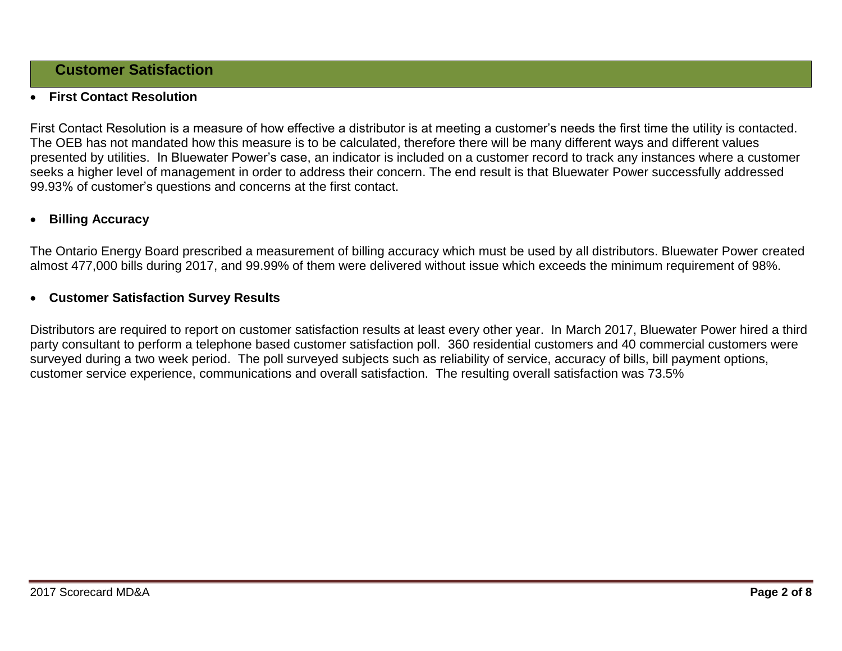# **Customer Satisfaction**

# **First Contact Resolution**

First Contact Resolution is a measure of how effective a distributor is at meeting a customer's needs the first time the utility is contacted. The OEB has not mandated how this measure is to be calculated, therefore there will be many different ways and different values presented by utilities. In Bluewater Power's case, an indicator is included on a customer record to track any instances where a customer seeks a higher level of management in order to address their concern. The end result is that Bluewater Power successfully addressed 99.93% of customer's questions and concerns at the first contact.

### **Billing Accuracy**

The Ontario Energy Board prescribed a measurement of billing accuracy which must be used by all distributors. Bluewater Power created almost 477,000 bills during 2017, and 99.99% of them were delivered without issue which exceeds the minimum requirement of 98%.

### **Customer Satisfaction Survey Results**

Distributors are required to report on customer satisfaction results at least every other year. In March 2017, Bluewater Power hired a third party consultant to perform a telephone based customer satisfaction poll. 360 residential customers and 40 commercial customers were surveyed during a two week period. The poll surveyed subjects such as reliability of service, accuracy of bills, bill payment options, customer service experience, communications and overall satisfaction. The resulting overall satisfaction was 73.5%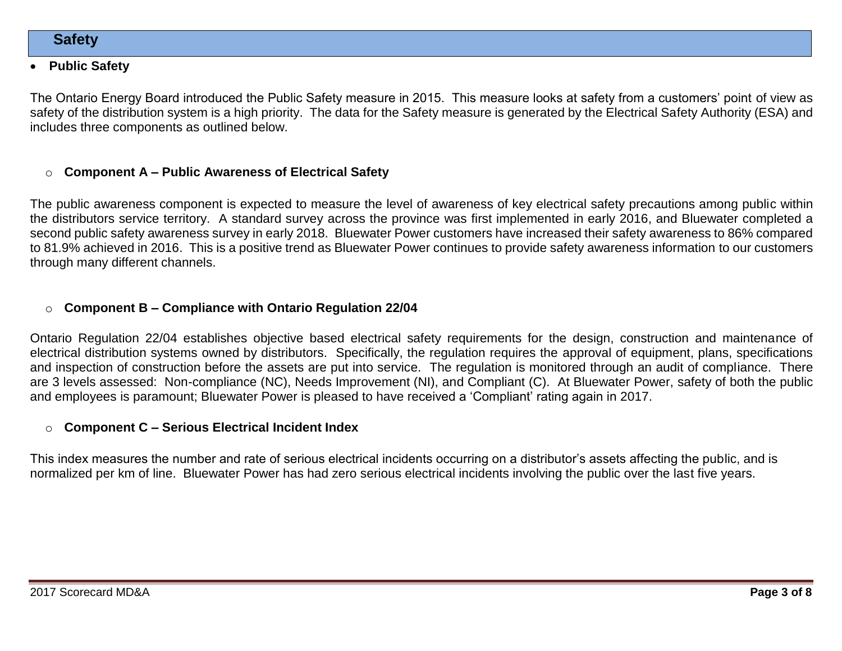### **Public Safety**

The Ontario Energy Board introduced the Public Safety measure in 2015. This measure looks at safety from a customers' point of view as safety of the distribution system is a high priority. The data for the Safety measure is generated by the Electrical Safety Authority (ESA) and includes three components as outlined below.

### o **Component A – Public Awareness of Electrical Safety**

The public awareness component is expected to measure the level of awareness of key electrical safety precautions among public within the distributors service territory. A standard survey across the province was first implemented in early 2016, and Bluewater completed a second public safety awareness survey in early 2018. Bluewater Power customers have increased their safety awareness to 86% compared to 81.9% achieved in 2016. This is a positive trend as Bluewater Power continues to provide safety awareness information to our customers through many different channels.

### o **Component B – Compliance with Ontario Regulation 22/04**

Ontario Regulation 22/04 establishes objective based electrical safety requirements for the design, construction and maintenance of electrical distribution systems owned by distributors. Specifically, the regulation requires the approval of equipment, plans, specifications and inspection of construction before the assets are put into service. The regulation is monitored through an audit of compliance. There are 3 levels assessed: Non-compliance (NC), Needs Improvement (NI), and Compliant (C). At Bluewater Power, safety of both the public and employees is paramount; Bluewater Power is pleased to have received a 'Compliant' rating again in 2017.

#### o **Component C – Serious Electrical Incident Index**

This index measures the number and rate of serious electrical incidents occurring on a distributor's assets affecting the public, and is normalized per km of line. Bluewater Power has had zero serious electrical incidents involving the public over the last five years.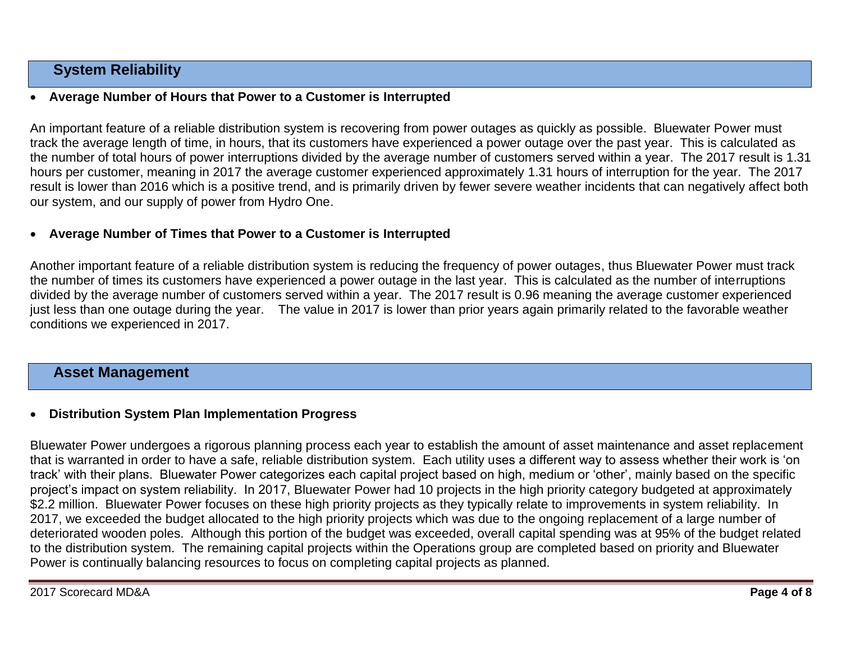# **System Reliability**

### **Average Number of Hours that Power to a Customer is Interrupted**

An important feature of a reliable distribution system is recovering from power outages as quickly as possible. Bluewater Power must track the average length of time, in hours, that its customers have experienced a power outage over the past year. This is calculated as the number of total hours of power interruptions divided by the average number of customers served within a year. The 2017 result is 1.31 hours per customer, meaning in 2017 the average customer experienced approximately 1.31 hours of interruption for the year. The 2017 result is lower than 2016 which is a positive trend, and is primarily driven by fewer severe weather incidents that can negatively affect both our system, and our supply of power from Hydro One.

#### **Average Number of Times that Power to a Customer is Interrupted**

Another important feature of a reliable distribution system is reducing the frequency of power outages, thus Bluewater Power must track the number of times its customers have experienced a power outage in the last year. This is calculated as the number of interruptions divided by the average number of customers served within a year. The 2017 result is 0.96 meaning the average customer experienced just less than one outage during the year. The value in 2017 is lower than prior years again primarily related to the favorable weather conditions we experienced in 2017.

# **Asset Management**

#### **Distribution System Plan Implementation Progress**

Bluewater Power undergoes a rigorous planning process each year to establish the amount of asset maintenance and asset replacement that is warranted in order to have a safe, reliable distribution system. Each utility uses a different way to assess whether their work is 'on track' with their plans. Bluewater Power categorizes each capital project based on high, medium or 'other', mainly based on the specific project's impact on system reliability. In 2017, Bluewater Power had 10 projects in the high priority category budgeted at approximately \$2.2 million. Bluewater Power focuses on these high priority projects as they typically relate to improvements in system reliability. In 2017, we exceeded the budget allocated to the high priority projects which was due to the ongoing replacement of a large number of deteriorated wooden poles. Although this portion of the budget was exceeded, overall capital spending was at 95% of the budget related to the distribution system. The remaining capital projects within the Operations group are completed based on priority and Bluewater Power is continually balancing resources to focus on completing capital projects as planned.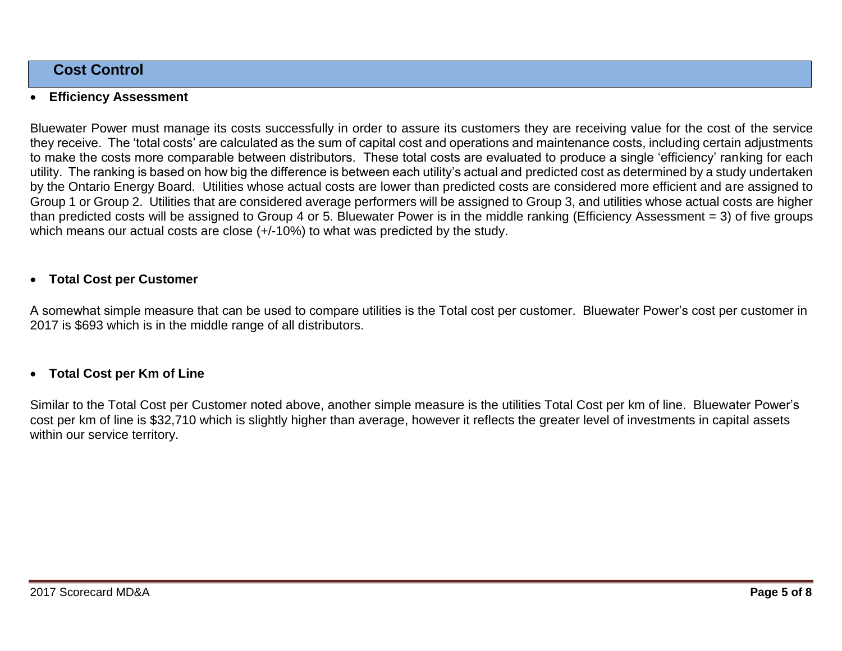# **Cost Control**

### **Efficiency Assessment**

Bluewater Power must manage its costs successfully in order to assure its customers they are receiving value for the cost of the service they receive. The 'total costs' are calculated as the sum of capital cost and operations and maintenance costs, including certain adjustments to make the costs more comparable between distributors. These total costs are evaluated to produce a single 'efficiency' ranking for each utility. The ranking is based on how big the difference is between each utility's actual and predicted cost as determined by a study undertaken by the Ontario Energy Board. Utilities whose actual costs are lower than predicted costs are considered more efficient and are assigned to Group 1 or Group 2. Utilities that are considered average performers will be assigned to Group 3, and utilities whose actual costs are higher than predicted costs will be assigned to Group 4 or 5. Bluewater Power is in the middle ranking (Efficiency Assessment = 3) of five groups which means our actual costs are close  $(+/-10%)$  to what was predicted by the study.

#### **Total Cost per Customer**

A somewhat simple measure that can be used to compare utilities is the Total cost per customer. Bluewater Power's cost per customer in 2017 is \$693 which is in the middle range of all distributors.

#### **Total Cost per Km of Line**

Similar to the Total Cost per Customer noted above, another simple measure is the utilities Total Cost per km of line. Bluewater Power's cost per km of line is \$32,710 which is slightly higher than average, however it reflects the greater level of investments in capital assets within our service territory.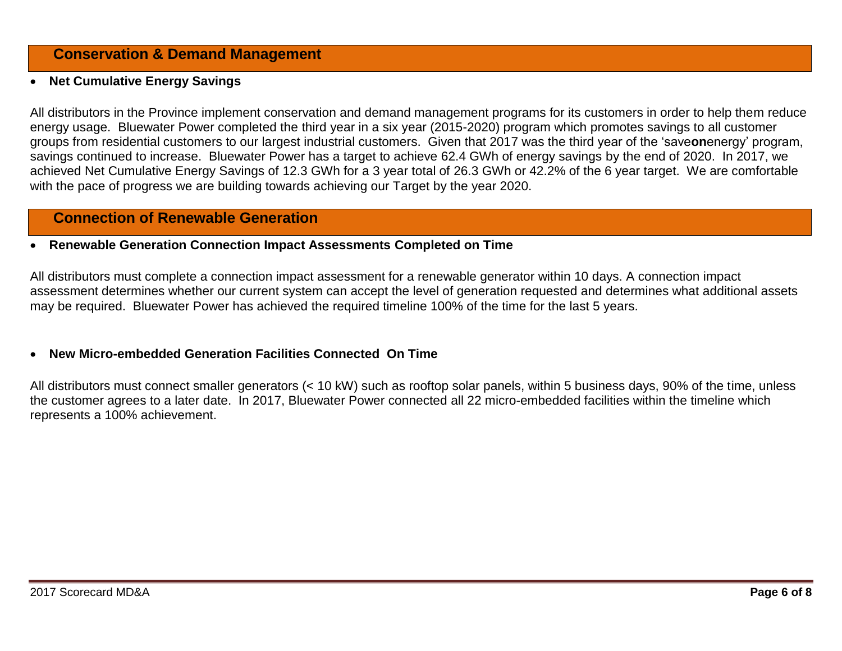# **Conservation & Demand Management**

# **Net Cumulative Energy Savings**

All distributors in the Province implement conservation and demand management programs for its customers in order to help them reduce energy usage. Bluewater Power completed the third year in a six year (2015-2020) program which promotes savings to all customer groups from residential customers to our largest industrial customers. Given that 2017 was the third year of the 'save**on**energy' program, savings continued to increase. Bluewater Power has a target to achieve 62.4 GWh of energy savings by the end of 2020. In 2017, we achieved Net Cumulative Energy Savings of 12.3 GWh for a 3 year total of 26.3 GWh or 42.2% of the 6 year target. We are comfortable with the pace of progress we are building towards achieving our Target by the year 2020.

# **Connection of Renewable Generation**

### **Renewable Generation Connection Impact Assessments Completed on Time**

All distributors must complete a connection impact assessment for a renewable generator within 10 days. A connection impact assessment determines whether our current system can accept the level of generation requested and determines what additional assets may be required. Bluewater Power has achieved the required timeline 100% of the time for the last 5 years.

# **New Micro-embedded Generation Facilities Connected On Time**

All distributors must connect smaller generators (< 10 kW) such as rooftop solar panels, within 5 business days, 90% of the time, unless the customer agrees to a later date. In 2017, Bluewater Power connected all 22 micro-embedded facilities within the timeline which represents a 100% achievement.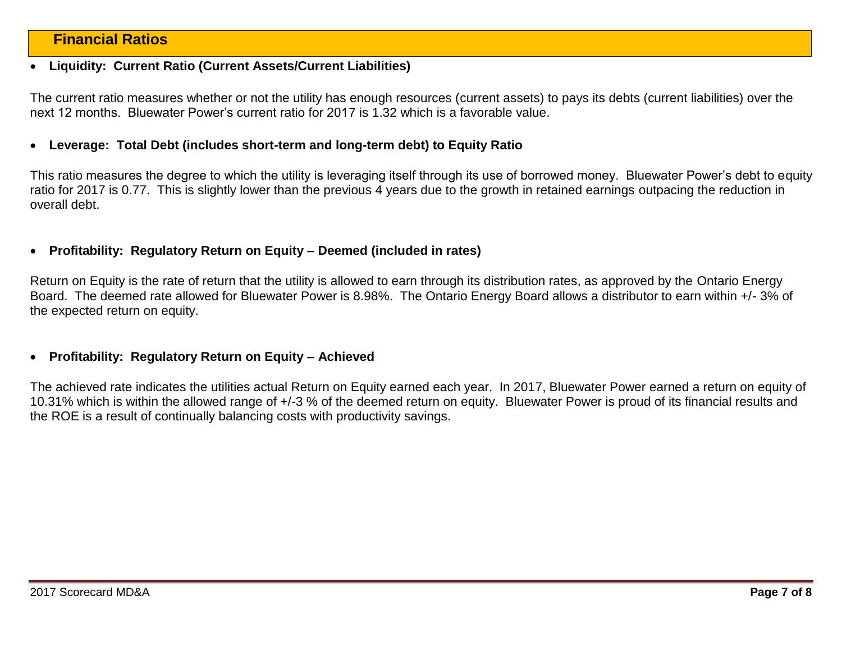# **Financial Ratios**

#### **Liquidity: Current Ratio (Current Assets/Current Liabilities)**

The current ratio measures whether or not the utility has enough resources (current assets) to pays its debts (current liabilities) over the next 12 months. Bluewater Power's current ratio for 2017 is 1.32 which is a favorable value.

#### **Leverage: Total Debt (includes short-term and long-term debt) to Equity Ratio**

This ratio measures the degree to which the utility is leveraging itself through its use of borrowed money. Bluewater Power's debt to equity ratio for 2017 is 0.77. This is slightly lower than the previous 4 years due to the growth in retained earnings outpacing the reduction in overall debt.

#### **Profitability: Regulatory Return on Equity – Deemed (included in rates)**

Return on Equity is the rate of return that the utility is allowed to earn through its distribution rates, as approved by the Ontario Energy Board. The deemed rate allowed for Bluewater Power is 8.98%. The Ontario Energy Board allows a distributor to earn within +/- 3% of the expected return on equity.

#### **Profitability: Regulatory Return on Equity – Achieved**

The achieved rate indicates the utilities actual Return on Equity earned each year. In 2017, Bluewater Power earned a return on equity of 10.31% which is within the allowed range of +/-3 % of the deemed return on equity. Bluewater Power is proud of its financial results and the ROE is a result of continually balancing costs with productivity savings.